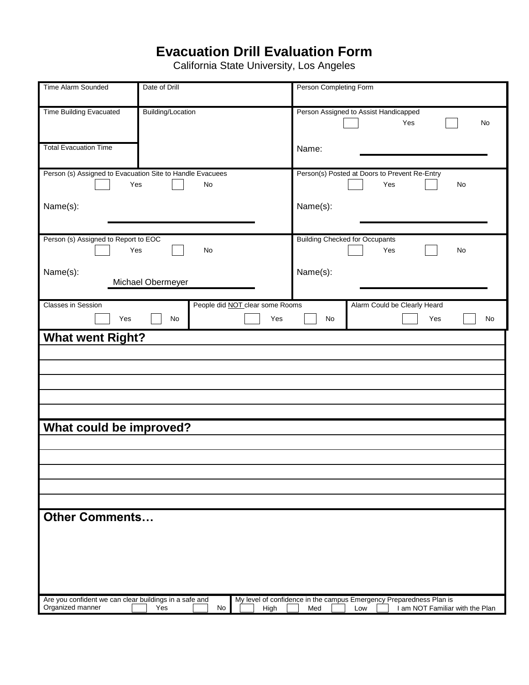## **Evacuation Drill Evaluation Form**

California State University, Los Angeles

| Time Alarm Sounded                                                         | Date of Drill                          | Person Completing Form                                                                                               |
|----------------------------------------------------------------------------|----------------------------------------|----------------------------------------------------------------------------------------------------------------------|
|                                                                            |                                        |                                                                                                                      |
| <b>Time Building Evacuated</b>                                             | Building/Location                      | Person Assigned to Assist Handicapped<br>Yes<br>No                                                                   |
| <b>Total Evacuation Time</b>                                               |                                        | Name:                                                                                                                |
| Person (s) Assigned to Evacuation Site to Handle Evacuees<br>Yes           | No                                     | Person(s) Posted at Doors to Prevent Re-Entry<br>Yes<br>No                                                           |
| Name(s):                                                                   |                                        | Name(s):                                                                                                             |
| Person (s) Assigned to Report to EOC<br>Yes                                | No                                     | <b>Building Checked for Occupants</b><br>Yes<br>No                                                                   |
| Name(s):                                                                   | Michael Obermeyer                      | Name(s):                                                                                                             |
| <b>Classes in Session</b>                                                  | People did <b>NOT</b> clear some Rooms | Alarm Could be Clearly Heard                                                                                         |
| Yes                                                                        | No<br>Yes                              | No<br>Yes<br>No                                                                                                      |
| <b>What went Right?</b>                                                    |                                        |                                                                                                                      |
|                                                                            |                                        |                                                                                                                      |
|                                                                            |                                        |                                                                                                                      |
|                                                                            |                                        |                                                                                                                      |
|                                                                            |                                        |                                                                                                                      |
|                                                                            |                                        |                                                                                                                      |
|                                                                            |                                        |                                                                                                                      |
| What could be improved?                                                    |                                        |                                                                                                                      |
|                                                                            |                                        |                                                                                                                      |
|                                                                            |                                        |                                                                                                                      |
|                                                                            |                                        |                                                                                                                      |
|                                                                            |                                        |                                                                                                                      |
|                                                                            |                                        |                                                                                                                      |
|                                                                            |                                        |                                                                                                                      |
| <b>Other Comments</b>                                                      |                                        |                                                                                                                      |
|                                                                            |                                        |                                                                                                                      |
|                                                                            |                                        |                                                                                                                      |
|                                                                            |                                        |                                                                                                                      |
|                                                                            |                                        |                                                                                                                      |
|                                                                            |                                        |                                                                                                                      |
| Are you confident we can clear buildings in a safe and<br>Organized manner | No<br>Yes<br>High                      | My level of confidence in the campus Emergency Preparedness Plan is<br>I am NOT Familiar with the Plan<br>Med<br>Low |